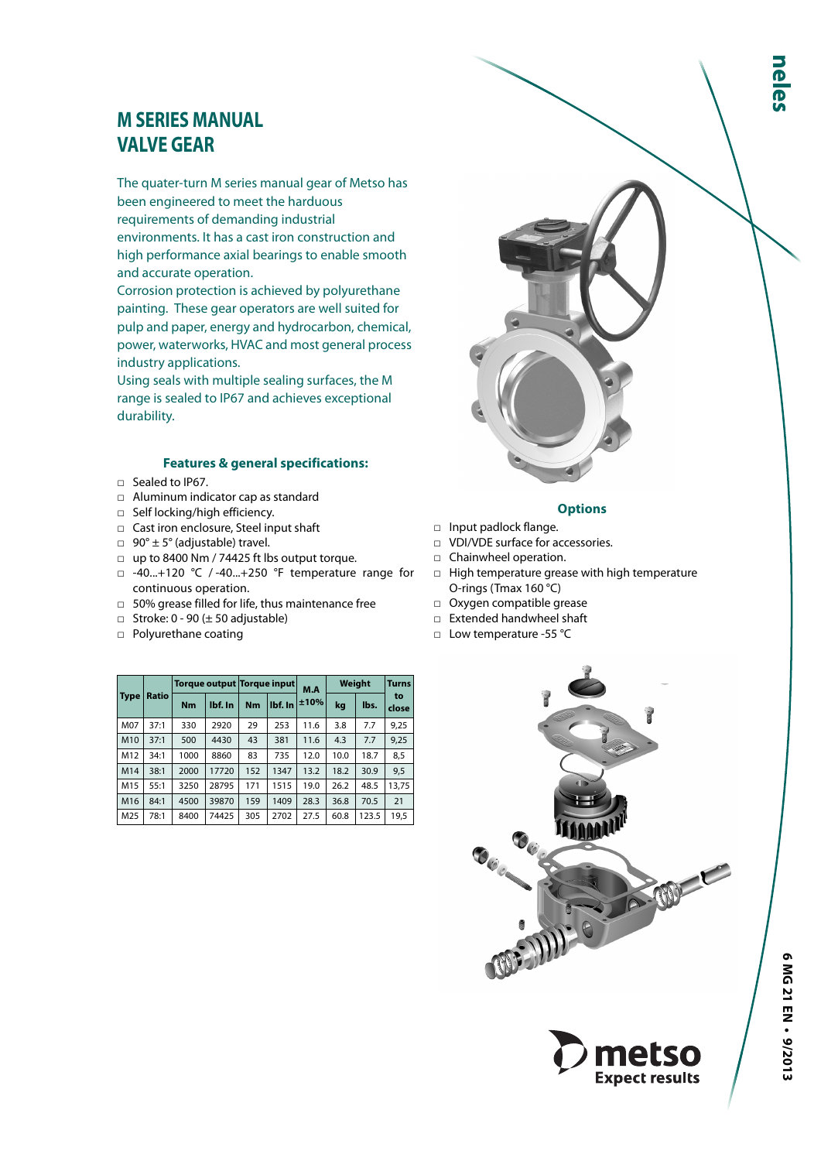# **M SERIES MANUAL VALVE GEAR**

The quater-turn M series manual gear of Metso has been engineered to meet the harduous requirements of demanding industrial environments. It has a cast iron construction and high performance axial bearings to enable smooth and accurate operation.

Corrosion protection is achieved by polyurethane painting. These gear operators are well suited for pulp and paper, energy and hydrocarbon, chemical, power, waterworks, HVAC and most general process industry applications.

Using seals with multiple sealing surfaces, the M range is sealed to IP67 and achieves exceptional durability.

### **Features & general specifications:**

- □ Sealed to IP67.
- □ Aluminum indicator cap as standard
- □ Self locking/high efficiency.
- □ Cast iron enclosure, Steel input shaft
- $\Box$  90°  $\pm$  5° (adjustable) travel.
- □ up to 8400 Nm / 74425 ft lbs output torque.
- □ -40...+120 °C / -40...+250 °F temperature range for continuous operation.
- □ 50% grease filled for life, thus maintenance free
- $\Box$  Stroke: 0 90 ( $\pm$  50 adjustable)
- □ Polyurethane coating

|             | <b>Ratio</b> |           | Torque output Torque input |           |         | M.A  | Weight | <b>Turns</b> |             |
|-------------|--------------|-----------|----------------------------|-----------|---------|------|--------|--------------|-------------|
| <b>Type</b> |              | <b>Nm</b> | lbf. In                    | <b>Nm</b> | lbf. In | ±10% | kg     | lbs.         | to<br>close |
| M07         | 37:1         | 330       | 2920                       | 29        | 253     | 11.6 | 3.8    | 7.7          | 9,25        |
| M10         | 37:1         | 500       | 4430                       | 43        | 381     | 11.6 | 4.3    | 7.7          | 9,25        |
| M12         | 34:1         | 1000      | 8860                       | 83        | 735     | 12.0 | 10.0   | 18.7         | 8,5         |
| M14         | 38:1         | 2000      | 17720                      | 152       | 1347    | 13.2 |        | 30.9         | 9,5         |
| M15         | 55:1         | 3250      | 28795                      | 171       | 1515    | 19.0 | 26.2   | 48.5         | 13.75       |
| M16         | 84:1         | 4500      | 39870                      | 159       | 1409    | 28.3 | 36.8   | 70.5         | 21          |
| M25         | 78:1         | 8400      | 74425                      | 305       | 2702    | 27.5 | 60.8   | 123.5        | 19.5        |



- □ Input padlock flange. □ VDI/VDE surface for accessories.
- □ Chainwheel operation.
- □ High temperature grease with high temperature O-rings (Tmax 160 °C)
- □ Oxygen compatible grease
- □ Extended handwheel shaft
- □ Low temperature -55 °C